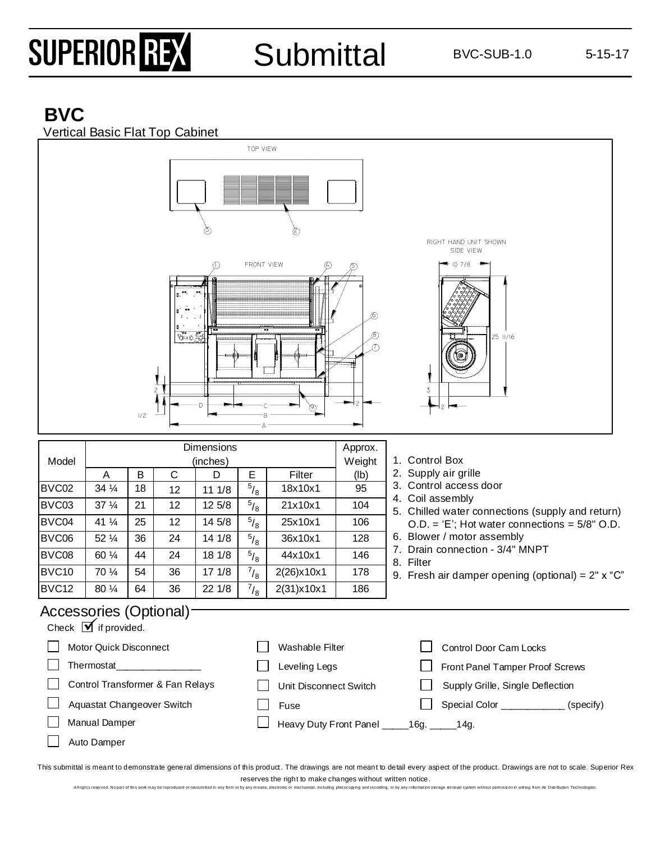# SUPERIOR REX

Submittal BVC-SUB-1.0 5-15-17

### **BVC**



All rights reserved. No part of this work may be reproduced or transmitted in any form or by any mean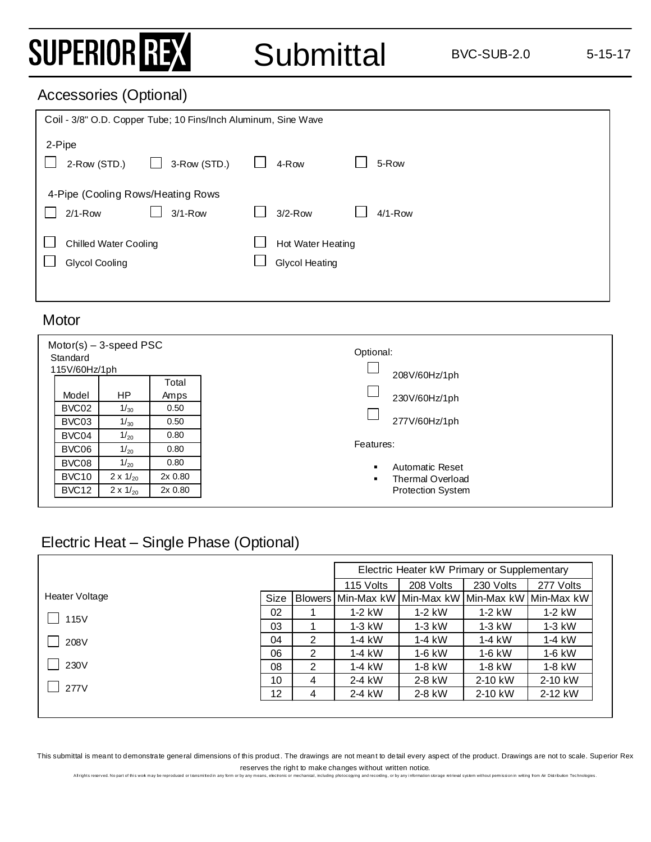### SUPERIOR REX

#### Accessories (Optional)

| Coil - 3/8" O.D. Copper Tube; 10 Fins/Inch Aluminum, Sine Wave |              |  |                                            |  |           |
|----------------------------------------------------------------|--------------|--|--------------------------------------------|--|-----------|
| 2-Pipe<br>2-Row (STD.)                                         | 3-Row (STD.) |  | 4-Row                                      |  | 5-Row     |
| 4-Pipe (Cooling Rows/Heating Rows)<br>$2/1 - Row$              | $3/1 - Row$  |  | $3/2-Row$                                  |  | $4/1-Row$ |
| <b>Chilled Water Cooling</b><br>Glycol Cooling                 |              |  | Hot Water Heating<br><b>Glycol Heating</b> |  |           |

#### **Motor**

| $Motor(s) - 3-speed PSC$<br>Standard<br>115V/60Hz/1ph |                 |         | Optional:<br>208V/60Hz/1ph               |
|-------------------------------------------------------|-----------------|---------|------------------------------------------|
|                                                       |                 | Total   |                                          |
| Model                                                 | <b>HP</b>       | Amps    | 230V/60Hz/1ph                            |
| BVC02                                                 | 1/30            | 0.50    |                                          |
| BVC03                                                 | 1/30            | 0.50    | 277V/60Hz/1ph                            |
| BVC04                                                 | 1/20            | 0.80    |                                          |
| BVC06                                                 | 1/20            | 0.80    | Features:                                |
| BVC08                                                 | 1/20            | 0.80    | <b>Automatic Reset</b><br>$\blacksquare$ |
| BVC <sub>10</sub>                                     | $2 \times 1/20$ | 2x 0.80 | Thermal Overload<br>$\blacksquare$       |
| BVC <sub>12</sub>                                     | $2 \times 1/20$ | 2x 0.80 | <b>Protection System</b>                 |
|                                                       |                 |         |                                          |

### Electric Heat – Single Phase (Optional)

|                |      |   | Electric Heater kW Primary or Supplementary                 |           |           |           |
|----------------|------|---|-------------------------------------------------------------|-----------|-----------|-----------|
|                |      |   | 115 Volts                                                   | 208 Volts | 230 Volts | 277 Volts |
| Heater Voltage | Size |   | Blowers   Min-Max kW   Min-Max kW   Min-Max kW   Min-Max kW |           |           |           |
| 115V           | 02   |   | $1-2$ kW                                                    | $1-2$ kW  | $1-2$ kW  | 1-2 kW    |
|                | 03   |   | $1-3$ kW                                                    | $1-3$ kW  | $1-3$ kW  | 1-3 kW    |
| 208V           | 04   | 2 | $1-4$ kW                                                    | $1-4$ kW  | $1-4$ kW  | 1-4 kW    |
|                | 06   | 2 | $1-4$ kW                                                    | $1-6$ kW  | 1-6 kW    | 1-6 kW    |
| 230V           | 08   | 2 | $1-4$ kW                                                    | $1-8$ kW  | $1-8$ kW  | 1-8 kW    |
|                | 10   | 4 | 2-4 kW                                                      | 2-8 kW    | 2-10 kW   | 2-10 kW   |
| 277V           | 12   | 4 | 2-4 kW                                                      | 2-8 kW    | 2-10 kW   | 2-12 kW   |

This submittal is meant to demonstrate general dimensions of this product. The drawings are not meant to detail every aspect of the product. Drawings are not to scale. Superior Rex reserves the right to make changes without written notice.<br>If the any means, electronic or mechanical, including obtocopying and recording, or by any information storage retrieval system without permission in witho from Ai

All rights reserved. No part of this work may be reproduced or transmitted in any form or by any means, electronic or mechanical, including protocopying and recording, or by any in